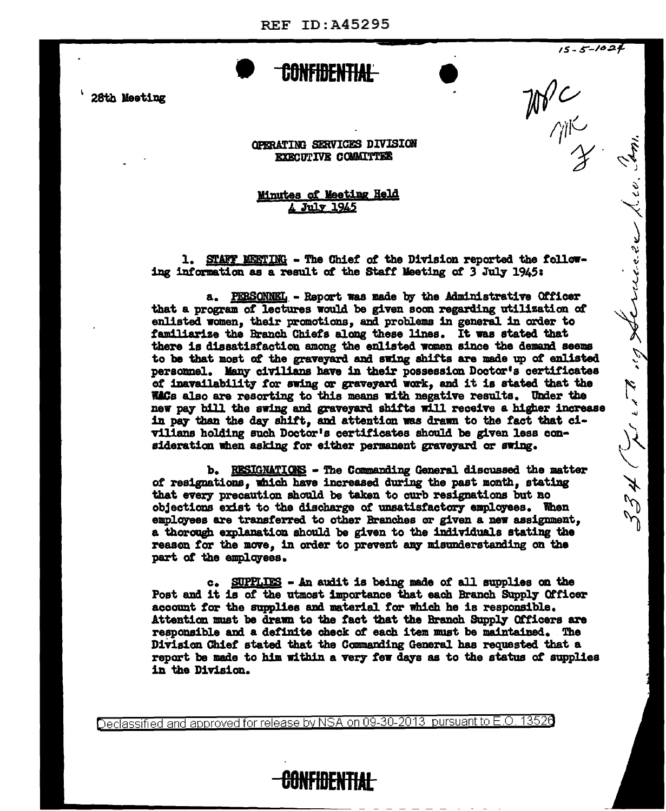CONFIDENTIAL-

28th Meeting

OPERATING SERVICES DIVISION **EXECUTIVE COMMITTEE** 

## Minutes of Meeting Held 4 July 1945

1. STAFF MEETING - The Chief of the Division reported the following information as a result of the Staff Meeting of 3 July 1945:

 $15 - 5 - 1024$ 

نهيمة أ

334 (Julian 19 Sternesse)

 $W^{\prime}_{\gamma_{\parallel}^{\gamma}}$ 

a. PERSONNEL - Report was made by the Administrative Officer that a program of lectures would be given soon regarding utilization of enlisted women, their promotions, and problems in general in order to familiarize the Branch Chiefs along these lines. It was stated that there is dissatisfaction among the enlisted women since the demand seems to be that most of the graveyard and swing shifts are made up of enlisted personnel. Many civilians have in their possession Doctor's certificates of inavailability for swing or graveyard work, and it is stated that the Wilds also are resorting to this means with negative results. Under the new pay bill the swing and graveyard shifts will receive a higher increase in pay than the day shift, and attention was drawn to the fact that civilians holding such Doctor's certificates should be given less consideration when asking for either permanent graveyard or swing.

b. RESIGNATIONS - The Commanding General discussed the matter of resignations, which have increased during the past month, stating that every precaution should be taken to curb resignations but no objections exist to the discharge of unsatisfactory employees. When employees are transferred to other Branches or given a new assignment, a thorough explanation should be given to the individuals stating the reason for the move, in order to prevent any misunderstanding on the part of the employees.

c. SUPPLIES - An audit is being made of all supplies on the Post and it is of the utmost importance that each Branch Supply Officer account for the supplies and material for which he is responsible. Attention must be drawn to the fact that the Branch Supply Officers are responsible and a definite check of each item must be maintained. The Division Chief stated that the Commanding General has requested that a report be made to him within a very few days as to the status of supplies in the Division.

Declassified and approved for release by NSA on 09-30-2013 pursuant to E.O. 13520

## **CONFIDENTIAL**